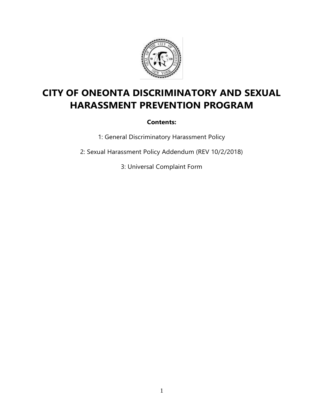

# **CITY OF ONEONTA DISCRIMINATORY AND SEXUAL HARASSMENT PREVENTION PROGRAM**

**Contents:** 

1: General Discriminatory Harassment Policy

2: Sexual Harassment Policy Addendum (REV 10/2/2018)

3: Universal Complaint Form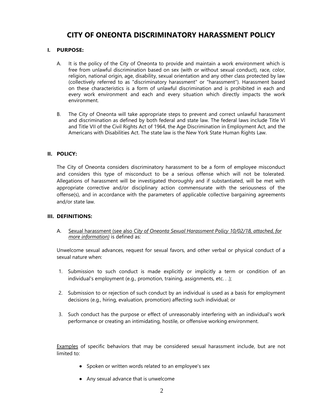# **CITY OF ONEONTA DISCRIMINATORY HARASSMENT POLICY**

### **I. PURPOSE:**

- A. It is the policy of the City of Oneonta to provide and maintain a work environment which is free from unlawful discrimination based on sex (with or without sexual conduct), race, color, religion, national origin, age, disability, sexual orientation and any other class protected by law (collectively referred to as "discriminatory harassment" or "harassment"). Harassment based on these characteristics is a form of unlawful discrimination and is prohibited in each and every work environment and each and every situation which directly impacts the work environment.
- B. The City of Oneonta will take appropriate steps to prevent and correct unlawful harassment and discrimination as defined by both federal and state law. The federal laws include Title VI and Title VII of the Civil Rights Act of 1964, the Age Discrimination in Employment Act, and the Americans with Disabilities Act. The state law is the New York State Human Rights Law.

#### **II. POLICY:**

The City of Oneonta considers discriminatory harassment to be a form of employee misconduct and considers this type of misconduct to be a serious offense which will not be tolerated. Allegations of harassment will be investigated thoroughly and if substantiated, will be met with appropriate corrective and/or disciplinary action commensurate with the seriousness of the offense(s), and in accordance with the parameters of applicable collective bargaining agreements and/or state law.

#### **III. DEFINITIONS:**

A. Sexual harassment (see also *City of Oneonta Sexual Harassment Policy 10/02/18, attached, for more information)* is defined as:

Unwelcome sexual advances, request for sexual favors, and other verbal or physical conduct of a sexual nature when:

- 1. Submission to such conduct is made explicitly or implicitly a term or condition of an individual's employment (e.g., promotion, training, assignments, etc...);
- 2. Submission to or rejection of such conduct by an individual is used as a basis for employment decisions (e.g., hiring, evaluation, promotion) affecting such individual; or
- 3. Such conduct has the purpose or effect of unreasonably interfering with an individual's work performance or creating an intimidating, hostile, or offensive working environment.

Examples of specific behaviors that may be considered sexual harassment include, but are not limited to:

- Spoken or written words related to an employee's sex
- Any sexual advance that is unwelcome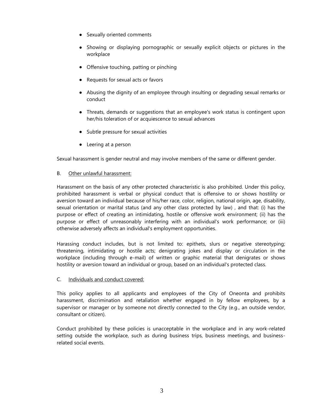- Sexually oriented comments
- Showing or displaying pornographic or sexually explicit objects or pictures in the workplace
- Offensive touching, patting or pinching
- Requests for sexual acts or favors
- Abusing the dignity of an employee through insulting or degrading sexual remarks or conduct
- Threats, demands or suggestions that an employee's work status is contingent upon her/his toleration of or acquiescence to sexual advances
- Subtle pressure for sexual activities
- Leering at a person

Sexual harassment is gender neutral and may involve members of the same or different gender.

#### B. Other unlawful harassment:

Harassment on the basis of any other protected characteristic is also prohibited. Under this policy, prohibited harassment is verbal or physical conduct that is offensive to or shows hostility or aversion toward an individual because of his/her race, color, religion, national origin, age, disability, sexual orientation or marital status (and any other class protected by law) , and that: (i) has the purpose or effect of creating an intimidating, hostile or offensive work environment; (ii) has the purpose or effect of unreasonably interfering with an individual's work performance; or (iii) otherwise adversely affects an individual's employment opportunities.

Harassing conduct includes, but is not limited to: epithets, slurs or negative stereotyping; threatening, intimidating or hostile acts; denigrating jokes and display or circulation in the workplace (including through e-mail) of written or graphic material that denigrates or shows hostility or aversion toward an individual or group, based on an individual's protected class.

#### C. Individuals and conduct covered:

This policy applies to all applicants and employees of the City of Oneonta and prohibits harassment, discrimination and retaliation whether engaged in by fellow employees, by a supervisor or manager or by someone not directly connected to the City (e.g., an outside vendor, consultant or citizen).

Conduct prohibited by these policies is unacceptable in the workplace and in any work-related setting outside the workplace, such as during business trips, business meetings, and businessrelated social events.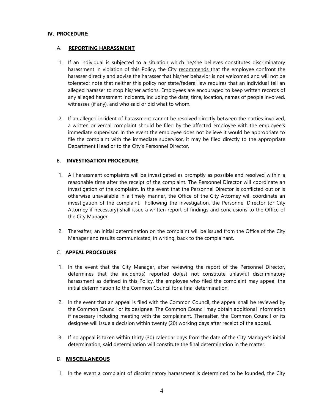#### **IV. PROCEDURE:**

#### A. **REPORTING HARASSMENT**

- 1. If an individual is subjected to a situation which he/she believes constitutes discriminatory harassment in violation of this Policy, the City recommends that the employee confront the harasser directly and advise the harasser that his/her behavior is not welcomed and will not be tolerated; note that neither this policy nor state/federal law requires that an individual tell an alleged harasser to stop his/her actions. Employees are encouraged to keep written records of any alleged harassment incidents, including the date, time, location, names of people involved, witnesses (if any), and who said or did what to whom.
- 2. If an alleged incident of harassment cannot be resolved directly between the parties involved, a written or verbal complaint should be filed by the affected employee with the employee's immediate supervisor. In the event the employee does not believe it would be appropriate to file the complaint with the immediate supervisor, it may be filed directly to the appropriate Department Head or to the City's Personnel Director.

#### B. **INVESTIGATION PROCEDURE**

- 1. All harassment complaints will be investigated as promptly as possible and resolved within a reasonable time after the receipt of the complaint. The Personnel Director will coordinate an investigation of the complaint. In the event that the Personnel Director is conflicted out or is otherwise unavailable in a timely manner, the Office of the City Attorney will coordinate an investigation of the complaint. Following the investigation, the Personnel Director (or City Attorney if necessary) shall issue a written report of findings and conclusions to the Office of the City Manager.
- 2. Thereafter, an initial determination on the complaint will be issued from the Office of the City Manager and results communicated, in writing, back to the complainant.

### C. **APPEAL PROCEDURE**

- 1. In the event that the City Manager, after reviewing the report of the Personnel Director, determines that the incident(s) reported do(es) not constitute unlawful discriminatory harassment as defined in this Policy, the employee who filed the complaint may appeal the initial determination to the Common Council for a final determination.
- 2. In the event that an appeal is filed with the Common Council, the appeal shall be reviewed by the Common Council or its designee. The Common Council may obtain additional information if necessary including meeting with the complainant. Thereafter, the Common Council or its designee will issue a decision within twenty (20) working days after receipt of the appeal.
- 3. If no appeal is taken within thirty (30) calendar days from the date of the City Manager's initial determination, said determination will constitute the final determination in the matter.

#### D. **MISCELLANEOUS**

1. In the event a complaint of discriminatory harassment is determined to be founded, the City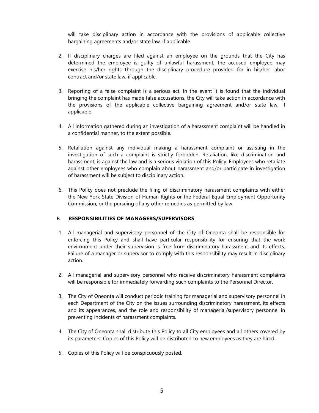will take disciplinary action in accordance with the provisions of applicable collective bargaining agreements and/or state law, if applicable.

- 2. If disciplinary charges are filed against an employee on the grounds that the City has determined the employee is guilty of unlawful harassment, the accused employee may exercise his/her rights through the disciplinary procedure provided for in his/her labor contract and/or state law, if applicable.
- 3. Reporting of a false complaint is a serious act. In the event it is found that the individual bringing the complaint has made false accusations, the City will take action in accordance with the provisions of the applicable collective bargaining agreement and/or state law, if applicable.
- 4. All information gathered during an investigation of a harassment complaint will be handled in a confidential manner, to the extent possible.
- 5. Retaliation against any individual making a harassment complaint or assisting in the investigation of such a complaint is strictly forbidden. Retaliation, like discrimination and harassment, is against the law and is a serious violation of this Policy. Employees who retaliate against other employees who complain about harassment and/or participate in investigation of harassment will be subject to disciplinary action.
- 6. This Policy does not preclude the filing of discriminatory harassment complaints with either the New York State Division of Human Rights or the Federal Equal Employment Opportunity Commission, or the pursuing of any other remedies as permitted by law.

#### B. **RESPONSIBILITIES OF MANAGERS/SUPERVISORS**

- 1. All managerial and supervisory personnel of the City of Oneonta shall be responsible for enforcing this Policy and shall have particular responsibility for ensuring that the work environment under their supervision is free from discriminatory harassment and its effects. Failure of a manager or supervisor to comply with this responsibility may result in disciplinary action.
- 2. All managerial and supervisory personnel who receive discriminatory harassment complaints will be responsible for immediately forwarding such complaints to the Personnel Director.
- 3. The City of Oneonta will conduct periodic training for managerial and supervisory personnel in each Department of the City on the issues surrounding discriminatory harassment, its effects and its appearances, and the role and responsibility of managerial/supervisory personnel in preventing incidents of harassment complaints.
- 4. The City of Oneonta shall distribute this Policy to all City employees and all others covered by its parameters. Copies of this Policy will be distributed to new employees as they are hired.
- 5. Copies of this Policy will be conspicuously posted.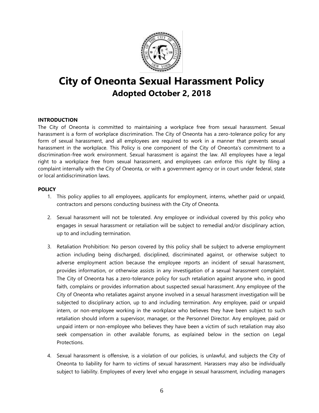

# **City of Oneonta Sexual Harassment Policy Adopted October 2, 2018**

#### **INTRODUCTION**

The City of Oneonta is committed to maintaining a workplace free from sexual harassment. Sexual harassment is a form of workplace discrimination. The City of Oneonta has a zero-tolerance policy for any form of sexual harassment, and all employees are required to work in a manner that prevents sexual harassment in the workplace. This Policy is one component of the City of Oneonta's commitment to a discrimination-free work environment. Sexual harassment is against the law. All employees have a legal right to a workplace free from sexual harassment, and employees can enforce this right by filing a complaint internally with the City of Oneonta, or with a government agency or in court under federal, state or local antidiscrimination laws.

#### **POLICY**

- 1. This policy applies to all employees, applicants for employment, interns, whether paid or unpaid, contractors and persons conducting business with the City of Oneonta.
- 2. Sexual harassment will not be tolerated. Any employee or individual covered by this policy who engages in sexual harassment or retaliation will be subject to remedial and/or disciplinary action, up to and including termination.
- 3. Retaliation Prohibition: No person covered by this policy shall be subject to adverse employment action including being discharged, disciplined, discriminated against, or otherwise subject to adverse employment action because the employee reports an incident of sexual harassment, provides information, or otherwise assists in any investigation of a sexual harassment complaint. The City of Oneonta has a zero-tolerance policy for such retaliation against anyone who, in good faith, complains or provides information about suspected sexual harassment. Any employee of the City of Oneonta who retaliates against anyone involved in a sexual harassment investigation will be subjected to disciplinary action, up to and including termination. Any employee, paid or unpaid intern, or non-employee working in the workplace who believes they have been subject to such retaliation should inform a supervisor, manager, or the Personnel Director. Any employee, paid or unpaid intern or non-employee who believes they have been a victim of such retaliation may also seek compensation in other available forums, as explained below in the section on Legal Protections.
- 4. Sexual harassment is offensive, is a violation of our policies, is unlawful, and subjects the City of Oneonta to liability for harm to victims of sexual harassment. Harassers may also be individually subject to liability. Employees of every level who engage in sexual harassment, including managers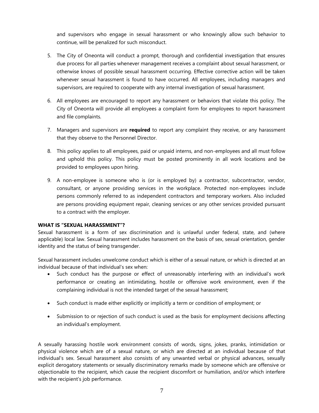and supervisors who engage in sexual harassment or who knowingly allow such behavior to continue, will be penalized for such misconduct.

- 5. The City of Oneonta will conduct a prompt, thorough and confidential investigation that ensures due process for all parties whenever management receives a complaint about sexual harassment, or otherwise knows of possible sexual harassment occurring. Effective corrective action will be taken whenever sexual harassment is found to have occurred. All employees, including managers and supervisors, are required to cooperate with any internal investigation of sexual harassment.
- 6. All employees are encouraged to report any harassment or behaviors that violate this policy. The City of Oneonta will provide all employees a complaint form for employees to report harassment and file complaints.
- 7. Managers and supervisors are **required** to report any complaint they receive, or any harassment that they observe to the Personnel Director.
- 8. This policy applies to all employees, paid or unpaid interns, and non-employees and all must follow and uphold this policy. This policy must be posted prominently in all work locations and be provided to employees upon hiring.
- 9. A non-employee is someone who is (or is employed by) a contractor, subcontractor, vendor, consultant, or anyone providing services in the workplace. Protected non-employees include persons commonly referred to as independent contractors and temporary workers. Also included are persons providing equipment repair, cleaning services or any other services provided pursuant to a contract with the employer.

#### **WHAT IS "SEXUAL HARASSMENT"?**

Sexual harassment is a form of sex discrimination and is unlawful under federal, state, and (where applicable) local law. Sexual harassment includes harassment on the basis of sex, sexual orientation, gender identity and the status of being transgender.

Sexual harassment includes unwelcome conduct which is either of a sexual nature, or which is directed at an individual because of that individual's sex when:

- Such conduct has the purpose or effect of unreasonably interfering with an individual's work performance or creating an intimidating, hostile or offensive work environment, even if the complaining individual is not the intended target of the sexual harassment;
- Such conduct is made either explicitly or implicitly a term or condition of employment; or
- Submission to or rejection of such conduct is used as the basis for employment decisions affecting an individual's employment.

A sexually harassing hostile work environment consists of words, signs, jokes, pranks, intimidation or physical violence which are of a sexual nature, or which are directed at an individual because of that individual's sex. Sexual harassment also consists of any unwanted verbal or physical advances, sexually explicit derogatory statements or sexually discriminatory remarks made by someone which are offensive or objectionable to the recipient, which cause the recipient discomfort or humiliation, and/or which interfere with the recipient's job performance.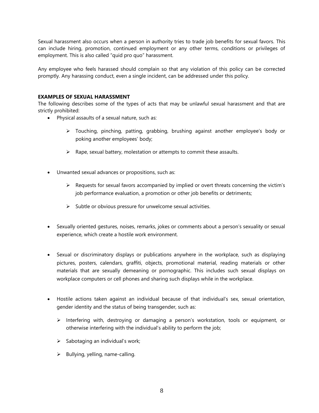Sexual harassment also occurs when a person in authority tries to trade job benefits for sexual favors. This can include hiring, promotion, continued employment or any other terms, conditions or privileges of employment. This is also called "quid pro quo" harassment.

Any employee who feels harassed should complain so that any violation of this policy can be corrected promptly. Any harassing conduct, even a single incident, can be addressed under this policy.

#### **EXAMPLES OF SEXUAL HARASSMENT**

The following describes some of the types of acts that may be unlawful sexual harassment and that are strictly prohibited:

- Physical assaults of a sexual nature, such as:
	- $\triangleright$  Touching, pinching, patting, grabbing, brushing against another employee's body or poking another employees' body;
	- $\triangleright$  Rape, sexual battery, molestation or attempts to commit these assaults.
- Unwanted sexual advances or propositions, such as:
	- $\triangleright$  Requests for sexual favors accompanied by implied or overt threats concerning the victim's job performance evaluation, a promotion or other job benefits or detriments;
	- $\triangleright$  Subtle or obvious pressure for unwelcome sexual activities.
- Sexually oriented gestures, noises, remarks, jokes or comments about a person's sexuality or sexual experience, which create a hostile work environment.
- Sexual or discriminatory displays or publications anywhere in the workplace, such as displaying pictures, posters, calendars, graffiti, objects, promotional material, reading materials or other materials that are sexually demeaning or pornographic. This includes such sexual displays on workplace computers or cell phones and sharing such displays while in the workplace.
- Hostile actions taken against an individual because of that individual's sex, sexual orientation, gender identity and the status of being transgender, such as:
	- $\triangleright$  Interfering with, destroying or damaging a person's workstation, tools or equipment, or otherwise interfering with the individual's ability to perform the job;
	- $\triangleright$  Sabotaging an individual's work;
	- $\triangleright$  Bullying, yelling, name-calling.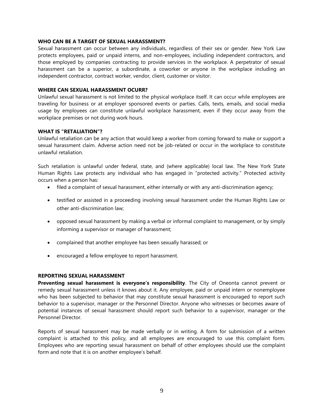#### **WHO CAN BE A TARGET OF SEXUAL HARASSMENT?**

Sexual harassment can occur between any individuals, regardless of their sex or gender. New York Law protects employees, paid or unpaid interns, and non-employees, including independent contractors, and those employed by companies contracting to provide services in the workplace. A perpetrator of sexual harassment can be a superior, a subordinate, a coworker or anyone in the workplace including an independent contractor, contract worker, vendor, client, customer or visitor.

#### **WHERE CAN SEXUAL HARASSMENT OCURR?**

Unlawful sexual harassment is not limited to the physical workplace itself. It can occur while employees are traveling for business or at employer sponsored events or parties. Calls, texts, emails, and social media usage by employees can constitute unlawful workplace harassment, even if they occur away from the workplace premises or not during work hours.

#### **WHAT IS "RETALIATION"?**

Unlawful retaliation can be any action that would keep a worker from coming forward to make or support a sexual harassment claim. Adverse action need not be job-related or occur in the workplace to constitute unlawful retaliation.

Such retaliation is unlawful under federal, state, and (where applicable) local law. The New York State Human Rights Law protects any individual who has engaged in "protected activity." Protected activity occurs when a person has:

- filed a complaint of sexual harassment, either internally or with any anti-discrimination agency;
- testified or assisted in a proceeding involving sexual harassment under the Human Rights Law or other anti-discrimination law;
- opposed sexual harassment by making a verbal or informal complaint to management, or by simply informing a supervisor or manager of harassment;
- complained that another employee has been sexually harassed; or
- encouraged a fellow employee to report harassment.

#### **REPORTING SEXUAL HARASSMENT**

**Preventing sexual harassment is everyone's responsibility**. The City of Oneonta cannot prevent or remedy sexual harassment unless it knows about it. Any employee, paid or unpaid intern or nonemployee who has been subjected to behavior that may constitute sexual harassment is encouraged to report such behavior to a supervisor, manager or the Personnel Director. Anyone who witnesses or becomes aware of potential instances of sexual harassment should report such behavior to a supervisor, manager or the Personnel Director.

Reports of sexual harassment may be made verbally or in writing. A form for submission of a written complaint is attached to this policy, and all employees are encouraged to use this complaint form. Employees who are reporting sexual harassment on behalf of other employees should use the complaint form and note that it is on another employee's behalf.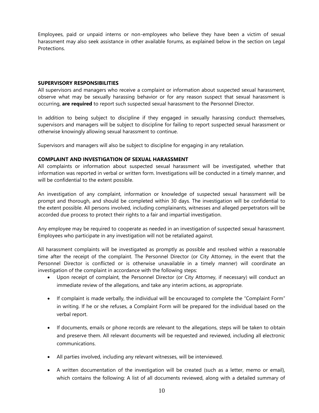Employees, paid or unpaid interns or non-employees who believe they have been a victim of sexual harassment may also seek assistance in other available forums, as explained below in the section on Legal **Protections** 

#### **SUPERVISORY RESPONSIBILITIES**

All supervisors and managers who receive a complaint or information about suspected sexual harassment, observe what may be sexually harassing behavior or for any reason suspect that sexual harassment is occurring, **are required** to report such suspected sexual harassment to the Personnel Director.

In addition to being subject to discipline if they engaged in sexually harassing conduct themselves, supervisors and managers will be subject to discipline for failing to report suspected sexual harassment or otherwise knowingly allowing sexual harassment to continue.

Supervisors and managers will also be subject to discipline for engaging in any retaliation.

#### **COMPLAINT AND INVESTIGATION OF SEXUAL HARASSMENT**

All complaints or information about suspected sexual harassment will be investigated, whether that information was reported in verbal or written form. Investigations will be conducted in a timely manner, and will be confidential to the extent possible.

An investigation of any complaint, information or knowledge of suspected sexual harassment will be prompt and thorough, and should be completed within 30 days. The investigation will be confidential to the extent possible. All persons involved, including complainants, witnesses and alleged perpetrators will be accorded due process to protect their rights to a fair and impartial investigation.

Any employee may be required to cooperate as needed in an investigation of suspected sexual harassment. Employees who participate in any investigation will not be retaliated against.

All harassment complaints will be investigated as promptly as possible and resolved within a reasonable time after the receipt of the complaint. The Personnel Director (or City Attorney, in the event that the Personnel Director is conflicted or is otherwise unavailable in a timely manner) will coordinate an investigation of the complaint in accordance with the following steps:

- Upon receipt of complaint, the Personnel Director (or City Attorney, if necessary) will conduct an immediate review of the allegations, and take any interim actions, as appropriate.
- If complaint is made verbally, the individual will be encouraged to complete the "Complaint Form" in writing. If he or she refuses, a Complaint Form will be prepared for the individual based on the verbal report.
- If documents, emails or phone records are relevant to the allegations, steps will be taken to obtain and preserve them. All relevant documents will be requested and reviewed, including all electronic communications.
- All parties involved, including any relevant witnesses, will be interviewed.
- A written documentation of the investigation will be created (such as a letter, memo or email), which contains the following: A list of all documents reviewed, along with a detailed summary of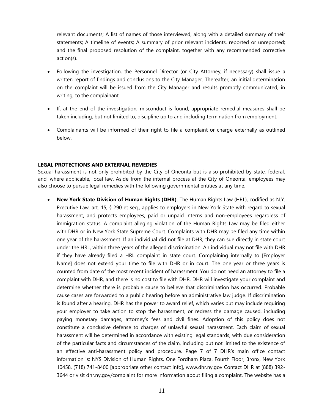relevant documents; A list of names of those interviewed, along with a detailed summary of their statements; A timeline of events; A summary of prior relevant incidents, reported or unreported; and the final proposed resolution of the complaint, together with any recommended corrective action(s).

- Following the investigation, the Personnel Director (or City Attorney, if necessary) shall issue a written report of findings and conclusions to the City Manager. Thereafter, an initial determination on the complaint will be issued from the City Manager and results promptly communicated, in writing, to the complainant.
- If, at the end of the investigation, misconduct is found, appropriate remedial measures shall be taken including, but not limited to, discipline up to and including termination from employment.
- Complainants will be informed of their right to file a complaint or charge externally as outlined below.

#### **LEGAL PROTECTIONS AND EXTERNAL REMEDIES**

Sexual harassment is not only prohibited by the City of Oneonta but is also prohibited by state, federal, and, where applicable, local law. Aside from the internal process at the City of Oneonta, employees may also choose to pursue legal remedies with the following governmental entities at any time.

 **New York State Division of Human Rights (DHR)**. The Human Rights Law (HRL), codified as N.Y. Executive Law, art. 15, § 290 et seq., applies to employers in New York State with regard to sexual harassment, and protects employees, paid or unpaid interns and non-employees regardless of immigration status. A complaint alleging violation of the Human Rights Law may be filed either with DHR or in New York State Supreme Court. Complaints with DHR may be filed any time within one year of the harassment. If an individual did not file at DHR, they can sue directly in state court under the HRL, within three years of the alleged discrimination. An individual may not file with DHR if they have already filed a HRL complaint in state court. Complaining internally to [Employer Name] does not extend your time to file with DHR or in court. The one year or three years is counted from date of the most recent incident of harassment. You do not need an attorney to file a complaint with DHR, and there is no cost to file with DHR. DHR will investigate your complaint and determine whether there is probable cause to believe that discrimination has occurred. Probable cause cases are forwarded to a public hearing before an administrative law judge. If discrimination is found after a hearing, DHR has the power to award relief, which varies but may include requiring your employer to take action to stop the harassment, or redress the damage caused, including paying monetary damages, attorney's fees and civil fines. Adoption of this policy does not constitute a conclusive defense to charges of unlawful sexual harassment. Each claim of sexual harassment will be determined in accordance with existing legal standards, with due consideration of the particular facts and circumstances of the claim, including but not limited to the existence of an effective anti-harassment policy and procedure. Page 7 of 7 DHR's main office contact information is: NYS Division of Human Rights, One Fordham Plaza, Fourth Floor, Bronx, New York 10458, (718) 741-8400 [appropriate other contact info], www.dhr.ny.gov Contact DHR at (888) 392- 3644 or visit dhr.ny.gov/complaint for more information about filing a complaint. The website has a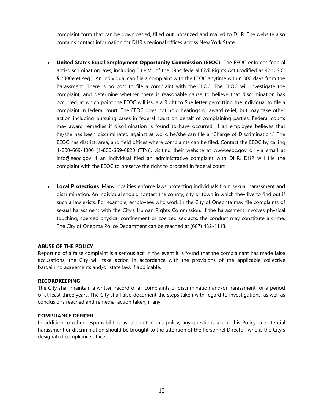complaint form that can be downloaded, filled out, notarized and mailed to DHR. The website also contains contact information for DHR's regional offices across New York State.

- **United States Equal Employment Opportunity Commission (EEOC).** The EEOC enforces federal anti-discrimination laws, including Title VII of the 1964 federal Civil Rights Act (codified as 42 U.S.C. § 2000e et seq.). An individual can file a complaint with the EEOC anytime within 300 days from the harassment. There is no cost to file a complaint with the EEOC. The EEOC will investigate the complaint, and determine whether there is reasonable cause to believe that discrimination has occurred, at which point the EEOC will issue a Right to Sue letter permitting the individual to file a complaint in federal court. The EEOC does not hold hearings or award relief, but may take other action including pursuing cases in federal court on behalf of complaining parties. Federal courts may award remedies if discrimination is found to have occurred. If an employee believes that he/she has been discriminated against at work, he/she can file a "Charge of Discrimination." The EEOC has district, area, and field offices where complaints can be filed. Contact the EEOC by calling 1-800-669-4000 (1-800-669-6820 (TTY)), visiting their website at www.eeoc.gov or via email at info@eeoc.gov If an individual filed an administrative complaint with DHR, DHR will file the complaint with the EEOC to preserve the right to proceed in federal court.
- **Local Protections**. Many localities enforce laws protecting individuals from sexual harassment and discrimination. An individual should contact the county, city or town in which they live to find out if such a law exists. For example, employees who work in the City of Oneonta may file complaints of sexual harassment with the City's Human Rights Commission. If the harassment involves physical touching, coerced physical confinement or coerced sex acts, the conduct may constitute a crime. The City of Oneonta Police Department can be reached at (607) 432-1113.

#### **ABUSE OF THE POLICY**

Reporting of a false complaint is a serious act. In the event it is found that the complainant has made false accusations, the City will take action in accordance with the provisions of the applicable collective bargaining agreements and/or state law, if applicable.

#### **RECORDKEEPING**

The City shall maintain a written record of all complaints of discrimination and/or harassment for a period of at least three years. The City shall also document the steps taken with regard to investigations, as well as conclusions reached and remedial action taken, if any.

#### **COMPLIANCE OFFICER**

In addition to other responsibilities as laid out in this policy, any questions about this Policy or potential harassment or discrimination should be brought to the attention of the Personnel Director, who is the City's designated compliance officer: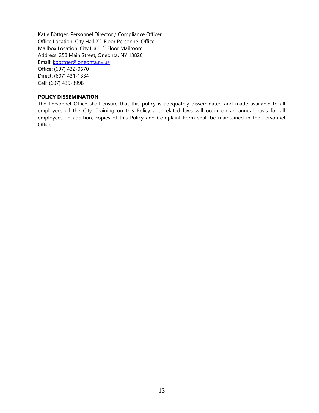Katie Böttger, Personnel Director / Compliance Officer Office Location: City Hall 2nd Floor Personnel Office Mailbox Location: City Hall  $1<sup>st</sup>$  Floor Mailroom Address: 258 Main Street, Oneonta, NY 13820 Email: [kbottger@oneonta.ny.us](mailto:kbottger@oneonta.ny.us) Office: (607) 432-0670 Direct: (607) 431-1334 Cell: (607) 435-3998

#### **POLICY DISSEMINATION**

The Personnel Office shall ensure that this policy is adequately disseminated and made available to all employees of the City. Training on this Policy and related laws will occur on an annual basis for all employees. In addition, copies of this Policy and Complaint Form shall be maintained in the Personnel Office.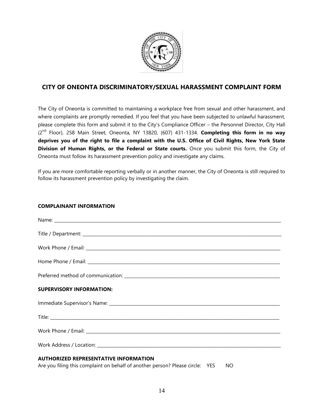

## **CITY OF ONEONTA DISCRIMINATORY/SEXUAL HARASSMENT COMPLAINT FORM**

The City of Oneonta is committed to maintaining a workplace free from sexual and other harassment, and where complaints are promptly remedied. If you feel that you have been subjected to unlawful harassment, please complete this form and submit it to the City's Compliance Officer – the Personnel Director, City Hall (2nd Floor), 258 Main Street, Oneonta, NY 13820, (607) 431-1334. **Completing this form in no way deprives you of the right to file a complaint with the U.S. Office of Civil Rights, New York State Division of Human Rights, or the Federal or State courts.** Once you submit this form, the City of Oneonta must follow its harassment prevention policy and investigate any claims.

If you are more comfortable reporting verbally or in another manner, the City of Oneonta is still required to follow its harassment prevention policy by investigating the claim.

#### **COMPLAINANT INFORMATION**

| <b>SUPERVISORY INFORMATION:</b>              |
|----------------------------------------------|
|                                              |
|                                              |
|                                              |
|                                              |
| <b>AUTHORIZED REPRESENTATIVE INFORMATION</b> |

Are you filing this complaint on behalf of another person? Please circle: YES NO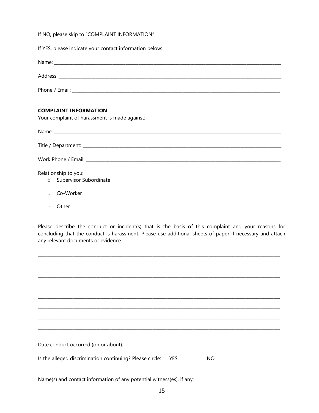If NO, please skip to "COMPLAINT INFORMATION"

If YES, please indicate your contact information below:

| <b>COMPLAINT INFORMATION</b><br>Your complaint of harassment is made against: |
|-------------------------------------------------------------------------------|
|                                                                               |
|                                                                               |

Relationship to you:

- o Supervisor Subordinate
- o Co-Worker
- o Other

Please describe the conduct or incident(s) that is the basis of this complaint and your reasons for concluding that the conduct is harassment. Please use additional sheets of paper if necessary and attach any relevant documents or evidence.

| Is the alleged discrimination continuing? Please circle: YES<br><b>NO</b> |
|---------------------------------------------------------------------------|
|                                                                           |

Name(s) and contact information of any potential witness(es), if any: